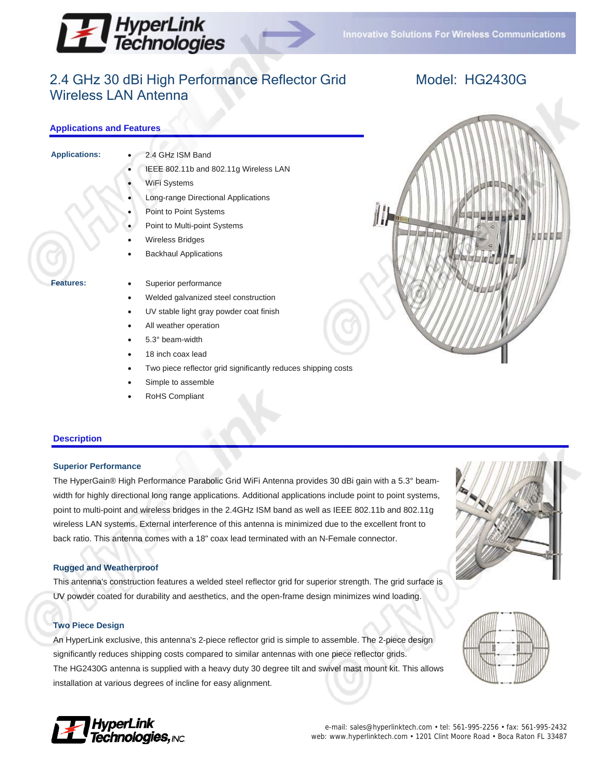



# 2.4 GHz 30 dBi High Performance Reflector Grid Wireless LAN Antenna

# Model: HG2430G

## **Applications and Features**

- 
- **Applications:** 2.4 GHz ISM Band
	- IEEE 802.11b and 802.11g Wireless LAN
	- WiFi Systems
	- Long-range Directional Applications
	- Point to Point Systems
	- Point to Multi-point Systems

**Backhaul Applications** 

- Wireless Bridges
- 
- **Features:** Superior performance
	- Welded galvanized steel construction
	- UV stable light gray powder coat finish
	- All weather operation
	- 5.3° beam-width
	- 18 inch coax lead
	- Two piece reflector grid significantly reduces shipping costs
	- Simple to assemble
	- RoHS Compliant

### **Description**

### **Superior Performance**

The HyperGain® High Performance Parabolic Grid WiFi Antenna provides 30 dBi gain with a 5.3° beamwidth for highly directional long range applications. Additional applications include point to point systems, point to multi-point and wireless bridges in the 2.4GHz ISM band as well as IEEE 802.11b and 802.11g wireless LAN systems. External interference of this antenna is minimized due to the excellent front to back ratio. This antenna comes with a 18" coax lead terminated with an N-Female connector.

### **Rugged and Weatherproof**

This antenna's construction features a welded steel reflector grid for superior strength. The grid surface is UV powder coated for durability and aesthetics, and the open-frame design minimizes wind loading.

### **Two Piece Design**

An HyperLink exclusive, this antenna's 2-piece reflector grid is simple to assemble. The 2-piece design significantly reduces shipping costs compared to similar antennas with one piece reflector grids. The HG2430G antenna is supplied with a heavy duty 30 degree tilt and swivel mast mount kit. This allows installation at various degrees of incline for easy alignment.







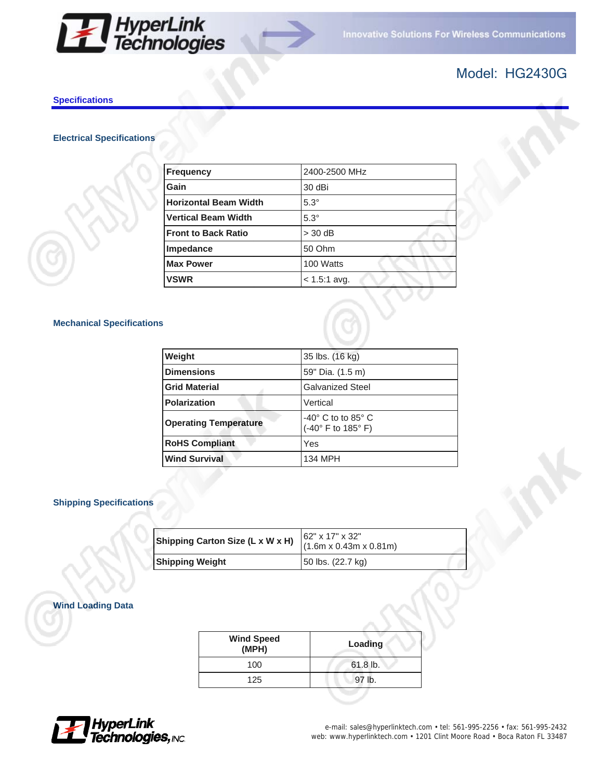



# Model: HG2430G

### **Specifications**

# **Electrical Specifications**

| <b>Frequency</b>             | 2400-2500 MHz  |
|------------------------------|----------------|
| Gain                         | 30 dBi         |
| <b>Horizontal Beam Width</b> | $5.3^\circ$    |
| <b>Vertical Beam Width</b>   | $5.3^\circ$    |
| <b>Front to Back Ratio</b>   | $>$ 30 dB      |
| Impedance                    | 50 Ohm         |
| <b>Max Power</b>             | 100 Watts      |
| <b>VSWR</b>                  | $< 1.5:1$ avg. |
|                              |                |

## **Mechanical Specifications**

| Weight                       | 35 lbs. (16 kg)                                         |
|------------------------------|---------------------------------------------------------|
| <b>Dimensions</b>            | 59" Dia. (1.5 m)                                        |
| <b>Grid Material</b>         | <b>Galvanized Steel</b>                                 |
| <b>Polarization</b>          | Vertical                                                |
| <b>Operating Temperature</b> | $-40^\circ$ C to to 85 $^\circ$ C<br>(-40° F to 185° F) |
| <b>RoHS Compliant</b>        | Yes                                                     |
| <b>Wind Survival</b>         | 134 MPH                                                 |

## **Shipping Specifications**

| Shipping Carton Size (L x W x H) | $162" \times 17" \times 32"$<br>$(1.6m \times 0.43m \times 0.81m)$ |  |
|----------------------------------|--------------------------------------------------------------------|--|
| <b>Shipping Weight</b>           | 50 lbs. (22.7 kg)                                                  |  |

# **Wind Loading Data**

| <b>Wind Speed</b><br>(MPH) | Loading    |
|----------------------------|------------|
| 100                        | $61.8$ lb. |
| 125                        | 97 lb.     |
|                            |            |